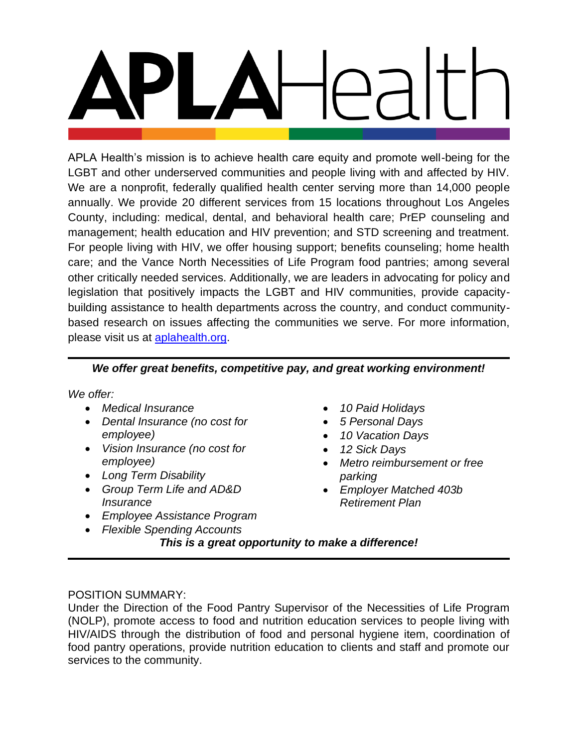APLA Health's mission is to achieve health care equity and promote well-being for the LGBT and other underserved communities and people living with and affected by HIV. We are a nonprofit, federally qualified health center serving more than 14,000 people annually. We provide 20 different services from 15 locations throughout Los Angeles County, including: medical, dental, and behavioral health care; PrEP counseling and management; health education and HIV prevention; and STD screening and treatment. For people living with HIV, we offer housing support; benefits counseling; home health care; and the Vance North Necessities of Life Program food pantries; among several other critically needed services. Additionally, we are leaders in advocating for policy and legislation that positively impacts the LGBT and HIV communities, provide capacitybuilding assistance to health departments across the country, and conduct communitybased research on issues affecting the communities we serve. For more information, please visit us at [aplahealth.org.](http://www.aplahealth.org/)

# *We offer great benefits, competitive pay, and great working environment!*

*We offer:*

- *Medical Insurance*
- *Dental Insurance (no cost for employee)*
- *Vision Insurance (no cost for employee)*
- *Long Term Disability*
- *Group Term Life and AD&D Insurance*
- *Employee Assistance Program*
- *Flexible Spending Accounts*
- *10 Paid Holidays*
- *5 Personal Days*
- *10 Vacation Days*
- *12 Sick Days*
- *Metro reimbursement or free parking*
- *Employer Matched 403b Retirement Plan*

*This is a great opportunity to make a difference!*

## POSITION SUMMARY:

Under the Direction of the Food Pantry Supervisor of the Necessities of Life Program (NOLP), promote access to food and nutrition education services to people living with HIV/AIDS through the distribution of food and personal hygiene item, coordination of food pantry operations, provide nutrition education to clients and staff and promote our services to the community.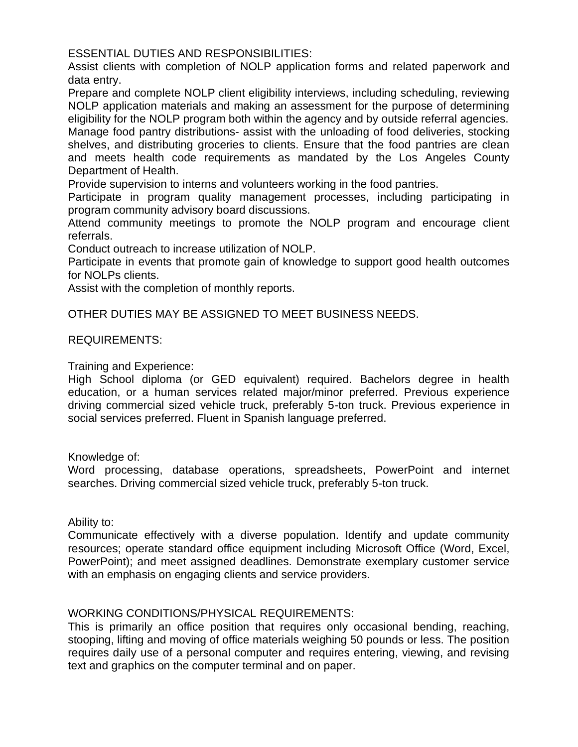ESSENTIAL DUTIES AND RESPONSIBILITIES:

Assist clients with completion of NOLP application forms and related paperwork and data entry.

Prepare and complete NOLP client eligibility interviews, including scheduling, reviewing NOLP application materials and making an assessment for the purpose of determining eligibility for the NOLP program both within the agency and by outside referral agencies. Manage food pantry distributions- assist with the unloading of food deliveries, stocking shelves, and distributing groceries to clients. Ensure that the food pantries are clean and meets health code requirements as mandated by the Los Angeles County Department of Health.

Provide supervision to interns and volunteers working in the food pantries.

Participate in program quality management processes, including participating in program community advisory board discussions.

Attend community meetings to promote the NOLP program and encourage client referrals.

Conduct outreach to increase utilization of NOLP.

Participate in events that promote gain of knowledge to support good health outcomes for NOLPs clients.

Assist with the completion of monthly reports.

OTHER DUTIES MAY BE ASSIGNED TO MEET BUSINESS NEEDS.

## REQUIREMENTS:

Training and Experience:

High School diploma (or GED equivalent) required. Bachelors degree in health education, or a human services related major/minor preferred. Previous experience driving commercial sized vehicle truck, preferably 5-ton truck. Previous experience in social services preferred. Fluent in Spanish language preferred.

Knowledge of:

Word processing, database operations, spreadsheets, PowerPoint and internet searches. Driving commercial sized vehicle truck, preferably 5-ton truck.

Ability to:

Communicate effectively with a diverse population. Identify and update community resources; operate standard office equipment including Microsoft Office (Word, Excel, PowerPoint); and meet assigned deadlines. Demonstrate exemplary customer service with an emphasis on engaging clients and service providers.

## WORKING CONDITIONS/PHYSICAL REQUIREMENTS:

This is primarily an office position that requires only occasional bending, reaching, stooping, lifting and moving of office materials weighing 50 pounds or less. The position requires daily use of a personal computer and requires entering, viewing, and revising text and graphics on the computer terminal and on paper.